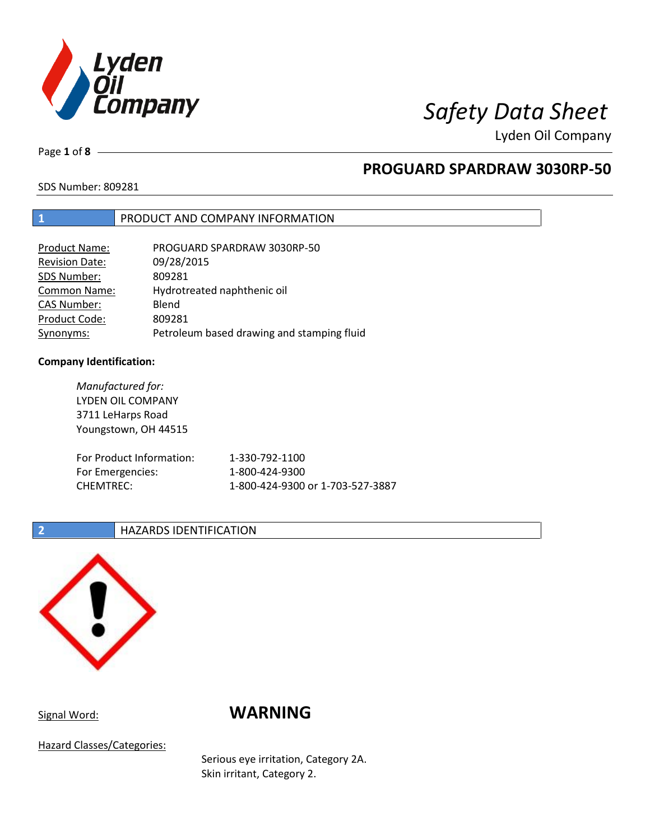

Page **1** of **8**

## **PROGUARD SPARDRAW 3030RP-50**

SDS Number: 809281

### **1** PRODUCT AND COMPANY INFORMATION

| Product Name:         | PROGUARD SPARDRAW 3030RP-50                |
|-----------------------|--------------------------------------------|
| <b>Revision Date:</b> | 09/28/2015                                 |
| SDS Number:           | 809281                                     |
| <b>Common Name:</b>   | Hydrotreated naphthenic oil                |
| <b>CAS Number:</b>    | Blend                                      |
| Product Code:         | 809281                                     |
| Synonyms:             | Petroleum based drawing and stamping fluid |

### **Company Identification:**

*Manufactured for:* LYDEN OIL COMPANY 3711 LeHarps Road Youngstown, OH 44515 For Product Information: 1-330-792-1100 For Emergencies: 1-800-424-9300 CHEMTREC: 1-800-424-9300 or 1-703-527-3887

### **2 HAZARDS IDENTIFICATION**



## Signal Word: **WARNING**

Hazard Classes/Categories:

Serious eye irritation, Category 2A. Skin irritant, Category 2.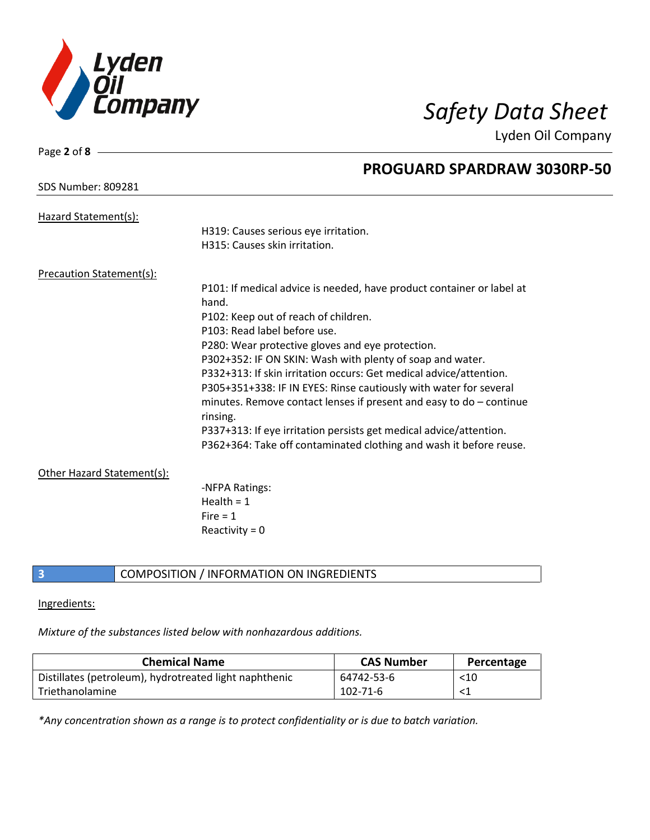

| Page 2 of $8 -$            |                                                                                   |
|----------------------------|-----------------------------------------------------------------------------------|
|                            | <b>PROGUARD SPARDRAW 3030RP-50</b>                                                |
| <b>SDS Number: 809281</b>  |                                                                                   |
| Hazard Statement(s):       |                                                                                   |
|                            | H319: Causes serious eye irritation.                                              |
|                            | H315: Causes skin irritation.                                                     |
| Precaution Statement(s):   |                                                                                   |
|                            | P101: If medical advice is needed, have product container or label at             |
|                            | hand.                                                                             |
|                            | P102: Keep out of reach of children.                                              |
|                            | P103: Read label before use.                                                      |
|                            | P280: Wear protective gloves and eye protection.                                  |
|                            | P302+352: IF ON SKIN: Wash with plenty of soap and water.                         |
|                            | P332+313: If skin irritation occurs: Get medical advice/attention.                |
|                            | P305+351+338: IF IN EYES: Rinse cautiously with water for several                 |
|                            | minutes. Remove contact lenses if present and easy to $do$ – continue<br>rinsing. |
|                            | P337+313: If eye irritation persists get medical advice/attention.                |
|                            | P362+364: Take off contaminated clothing and wash it before reuse.                |
| Other Hazard Statement(s): |                                                                                   |
|                            | -NFPA Ratings:                                                                    |
|                            | Health = $1$                                                                      |
|                            | Fire $= 1$                                                                        |
|                            | Reactivity = $0$                                                                  |
|                            |                                                                                   |

### **3** COMPOSITION / INFORMATION ON INGREDIENTS

### Ingredients:

*Mixture of the substances listed below with nonhazardous additions.*

| <b>Chemical Name</b>                                   | <b>CAS Number</b> | Percentage |
|--------------------------------------------------------|-------------------|------------|
| Distillates (petroleum), hydrotreated light naphthenic | 64742-53-6        | $<$ 10     |
| Triethanolamine                                        | $102 - 71 - 6$    |            |

*\*Any concentration shown as a range is to protect confidentiality or is due to batch variation.*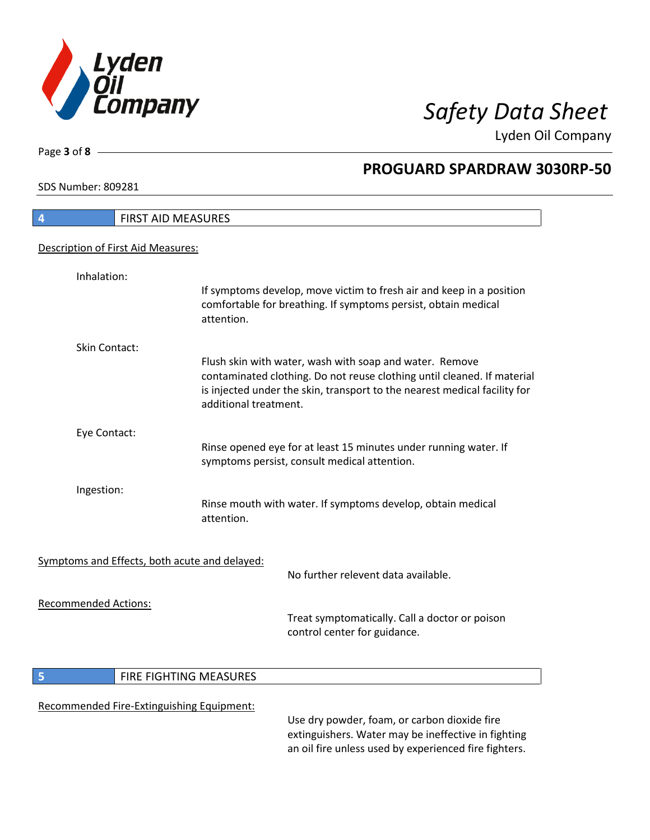

SDS Number: 809281

Page **3** of **8**

# **PROGUARD SPARDRAW 3030RP-50**

| 4                           | <b>FIRST AID MEASURES</b>                     |                       |                                                                                                                                                                                                                 |
|-----------------------------|-----------------------------------------------|-----------------------|-----------------------------------------------------------------------------------------------------------------------------------------------------------------------------------------------------------------|
|                             | Description of First Aid Measures:            |                       |                                                                                                                                                                                                                 |
|                             |                                               |                       |                                                                                                                                                                                                                 |
| Inhalation:                 |                                               |                       |                                                                                                                                                                                                                 |
|                             |                                               | attention.            | If symptoms develop, move victim to fresh air and keep in a position<br>comfortable for breathing. If symptoms persist, obtain medical                                                                          |
| <b>Skin Contact:</b>        |                                               |                       |                                                                                                                                                                                                                 |
|                             |                                               | additional treatment. | Flush skin with water, wash with soap and water. Remove<br>contaminated clothing. Do not reuse clothing until cleaned. If material<br>is injected under the skin, transport to the nearest medical facility for |
| Eye Contact:                |                                               |                       |                                                                                                                                                                                                                 |
|                             |                                               |                       | Rinse opened eye for at least 15 minutes under running water. If<br>symptoms persist, consult medical attention.                                                                                                |
| Ingestion:                  |                                               |                       |                                                                                                                                                                                                                 |
|                             |                                               | attention.            | Rinse mouth with water. If symptoms develop, obtain medical                                                                                                                                                     |
|                             |                                               |                       |                                                                                                                                                                                                                 |
|                             | Symptoms and Effects, both acute and delayed: |                       | No further relevent data available.                                                                                                                                                                             |
| <b>Recommended Actions:</b> |                                               |                       |                                                                                                                                                                                                                 |
|                             |                                               |                       | Treat symptomatically. Call a doctor or poison<br>control center for guidance.                                                                                                                                  |
| 5                           | FIRE FIGHTING MEASURES                        |                       |                                                                                                                                                                                                                 |
|                             |                                               |                       |                                                                                                                                                                                                                 |
|                             | Recommended Fire-Extinguishing Equipment:     |                       |                                                                                                                                                                                                                 |

Use dry powder, foam, or carbon dioxide fire extinguishers. Water may be ineffective in fighting an oil fire unless used by experienced fire fighters.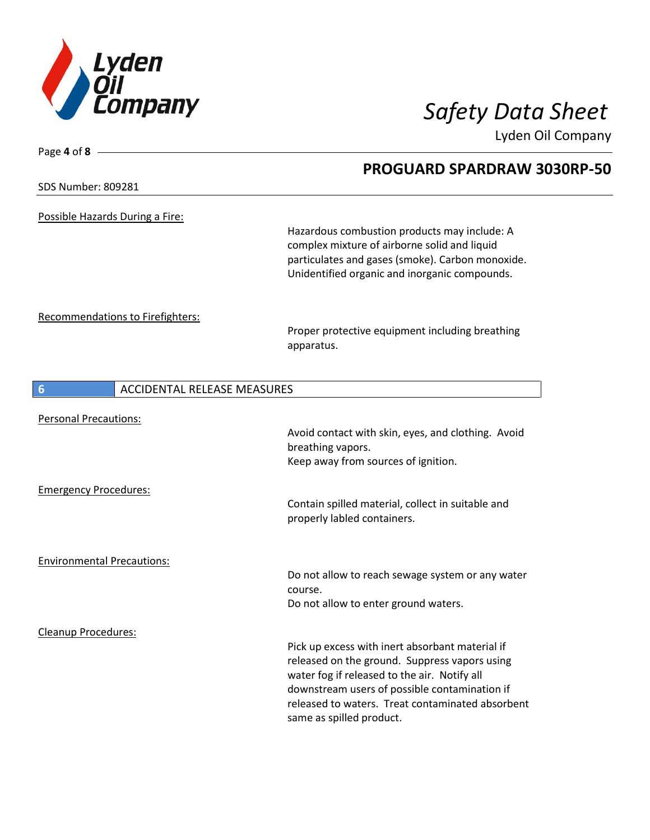

Page **4** of **8**

Lyden Oil Company

SDS Number: 809281 Possible Hazards During a Fire: Hazardous combustion products may include: A complex mixture of airborne solid and liquid particulates and gases (smoke). Carbon monoxide. Unidentified organic and inorganic compounds. Recommendations to Firefighters: Proper protective equipment including breathing apparatus. **6** ACCIDENTAL RELEASE MEASURES Personal Precautions: Avoid contact with skin, eyes, and clothing. Avoid breathing vapors. Keep away from sources of ignition. Emergency Procedures: Contain spilled material, collect in suitable and properly labled containers. Environmental Precautions: Do not allow to reach sewage system or any water course. Do not allow to enter ground waters. Cleanup Procedures: Pick up excess with inert absorbant material if

> released on the ground. Suppress vapors using water fog if released to the air. Notify all downstream users of possible contamination if released to waters. Treat contaminated absorbent

same as spilled product.

## **PROGUARD SPARDRAW 3030RP-50**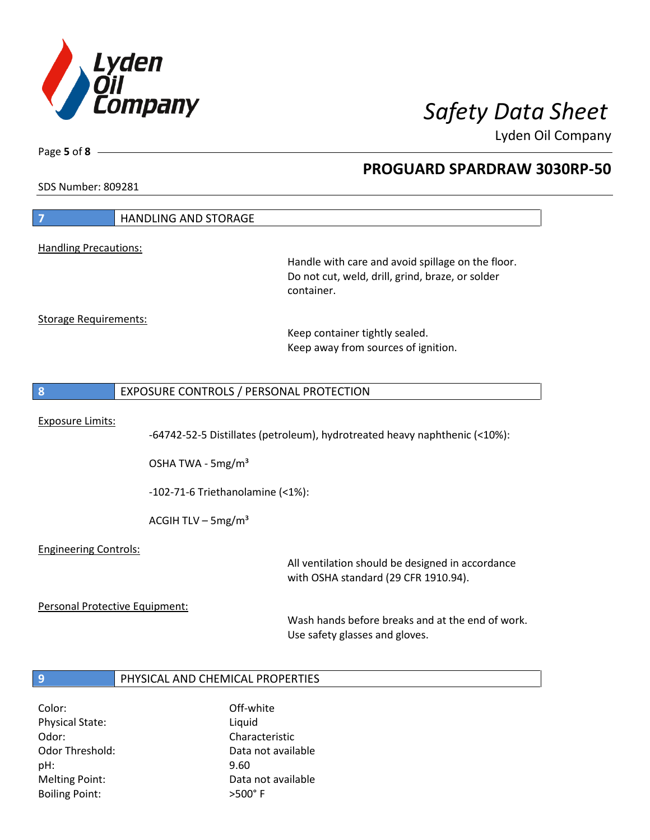

pH: 9.60

Boiling Point:  $>500^{\circ}$  F

Melting Point: Case Controller Muslim Data not available

Lyden Oil Company

Page **5** of **8**

## **PROGUARD SPARDRAW 3030RP-50**

SDS Number: 809281

| $\overline{7}$                                        | <b>HANDLING AND STORAGE</b>                                 |                                                                                                                     |
|-------------------------------------------------------|-------------------------------------------------------------|---------------------------------------------------------------------------------------------------------------------|
| <b>Handling Precautions:</b>                          |                                                             |                                                                                                                     |
|                                                       |                                                             | Handle with care and avoid spillage on the floor.<br>Do not cut, weld, drill, grind, braze, or solder<br>container. |
| <b>Storage Requirements:</b>                          |                                                             |                                                                                                                     |
|                                                       |                                                             | Keep container tightly sealed.<br>Keep away from sources of ignition.                                               |
| 8                                                     | EXPOSURE CONTROLS / PERSONAL PROTECTION                     |                                                                                                                     |
| <b>Exposure Limits:</b>                               | OSHA TWA - 5mg/m <sup>3</sup>                               | -64742-52-5 Distillates (petroleum), hydrotreated heavy naphthenic (<10%):                                          |
|                                                       | $-102-71-6$ Triethanolamine (<1%):                          |                                                                                                                     |
|                                                       | ACGIH TLV $-$ 5mg/m <sup>3</sup>                            |                                                                                                                     |
| <b>Engineering Controls:</b>                          |                                                             | All ventilation should be designed in accordance<br>with OSHA standard (29 CFR 1910.94).                            |
| Personal Protective Equipment:                        |                                                             | Wash hands before breaks and at the end of work.<br>Use safety glasses and gloves.                                  |
| $\overline{9}$                                        | PHYSICAL AND CHEMICAL PROPERTIES                            |                                                                                                                     |
|                                                       |                                                             |                                                                                                                     |
| Color:<br>Physical State:<br>Odor:<br>Odor Threshold: | Off-white<br>Liquid<br>Characteristic<br>Data not available |                                                                                                                     |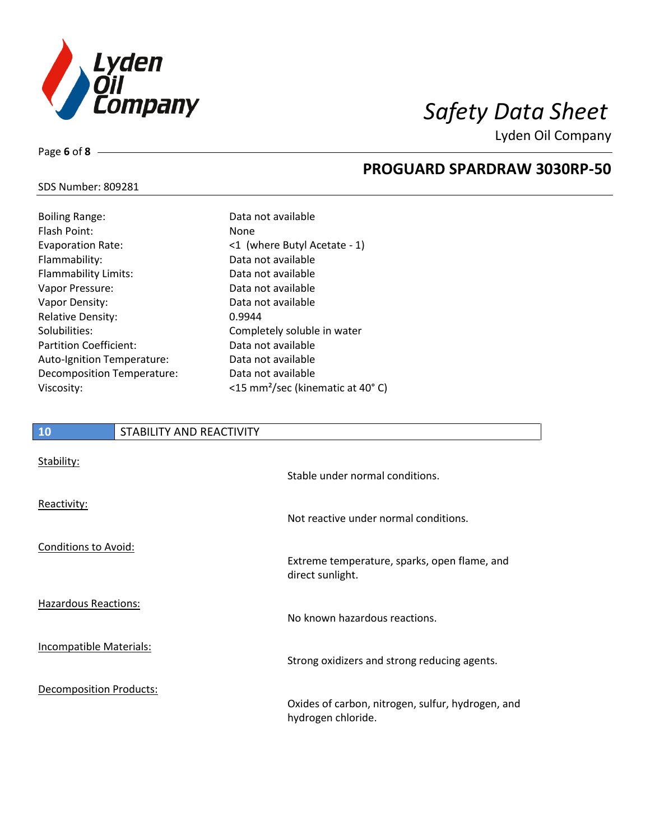

**PROGUARD SPARDRAW 3030RP-50**

Lyden Oil Company

## SDS Number: 809281

Page **6** of **8**

## Boiling Range: Data not available Flash Point: None Evaporation Rate:  $\leq 1$  (where Butyl Acetate - 1) Flammability: Data not available Flammability Limits: Data not available Vapor Pressure: Data not available Vapor Density: Capaca not available Relative Density: 0.9944 Solubilities: Completely soluble in water Partition Coefficient: Data not available Auto-Ignition Temperature: Data not available Decomposition Temperature: Data not available Viscosity: <15 mm²/sec (kinematic at 40° C)

# **10** STABILITY AND REACTIVITY Stability: Stable under normal conditions. Reactivity: Not reactive under normal conditions. Conditions to Avoid: Extreme temperature, sparks, open flame, and direct sunlight. Hazardous Reactions: No known hazardous reactions. Incompatible Materials: Strong oxidizers and strong reducing agents. Decomposition Products: Oxides of carbon, nitrogen, sulfur, hydrogen, and hydrogen chloride.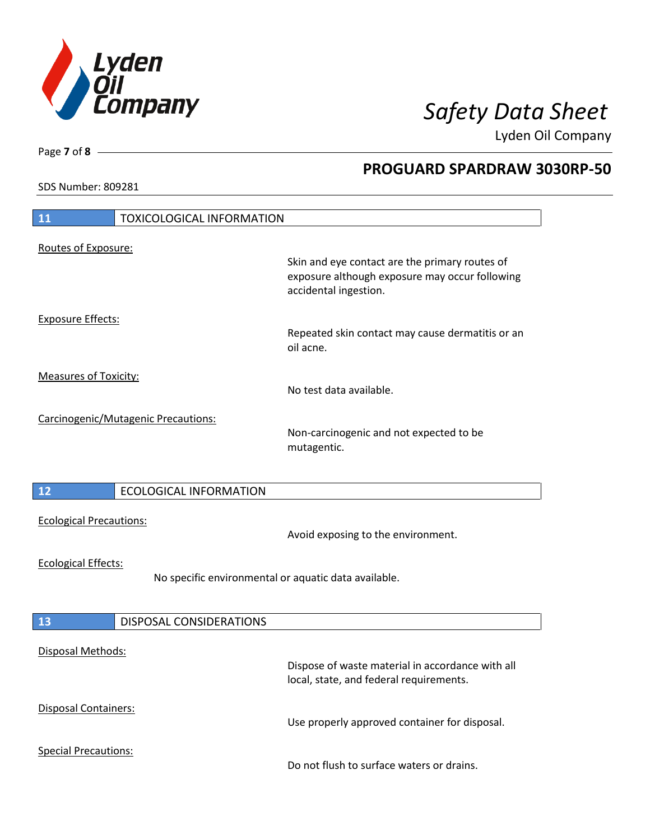

**PROGUARD SPARDRAW 3030RP-50**

Lyden Oil Company

SDS Number: 809281

Page **7** of **8**

| 11                                  | <b>TOXICOLOGICAL INFORMATION</b>                     |                                                                                                                           |
|-------------------------------------|------------------------------------------------------|---------------------------------------------------------------------------------------------------------------------------|
| Routes of Exposure:                 |                                                      | Skin and eye contact are the primary routes of<br>exposure although exposure may occur following<br>accidental ingestion. |
| <b>Exposure Effects:</b>            |                                                      | Repeated skin contact may cause dermatitis or an<br>oil acne.                                                             |
| <b>Measures of Toxicity:</b>        |                                                      | No test data available.                                                                                                   |
| Carcinogenic/Mutagenic Precautions: |                                                      | Non-carcinogenic and not expected to be<br>mutagentic.                                                                    |
| 12                                  | <b>ECOLOGICAL INFORMATION</b>                        |                                                                                                                           |
| <b>Ecological Precautions:</b>      |                                                      | Avoid exposing to the environment.                                                                                        |
| <b>Ecological Effects:</b>          | No specific environmental or aquatic data available. |                                                                                                                           |
| 13                                  | DISPOSAL CONSIDERATIONS                              |                                                                                                                           |
| Disposal Methods:                   |                                                      | Dispose of waste material in accordance with all<br>local, state, and federal requirements.                               |
| <b>Disposal Containers:</b>         |                                                      | Use properly approved container for disposal.                                                                             |
| <b>Special Precautions:</b>         |                                                      | Do not flush to surface waters or drains.                                                                                 |